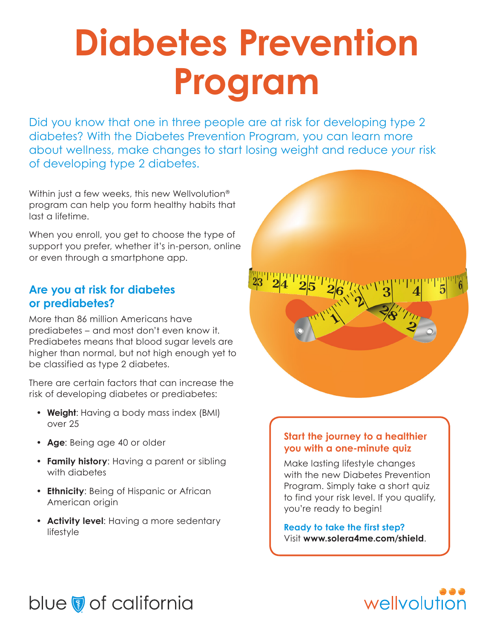# **Diabetes Prevention Program**

Did you know that one in three people are at risk for developing type 2 diabetes? With the Diabetes Prevention Program, you can learn more about wellness, make changes to start losing weight and reduce *your* risk of developing type 2 diabetes.

Within just a few weeks, this new Wellvolution<sup>®</sup> program can help you form healthy habits that last a lifetime.

When you enroll, you get to choose the type of support you prefer, whether it's in-person, online or even through a smartphone app.

# **Are you at risk for diabetes or prediabetes?**

More than 86 million Americans have prediabetes – and most don't even know it. Prediabetes means that blood sugar levels are higher than normal, but not high enough yet to be classified as type 2 diabetes.

There are certain factors that can increase the risk of developing diabetes or prediabetes:

- **• Weight**: Having a body mass index (BMI) over 25
- **• Age**: Being age 40 or older
- **• Family history**: Having a parent or sibling with diabetes
- **• Ethnicity**: Being of Hispanic or African American origin
- **• Activity level**: Having a more sedentary lifestyle



### **Start the journey to a healthier you with a one-minute quiz**

Make lasting lifestyle changes with the new Diabetes Prevention Program. Simply take a short quiz to find your risk level. If you qualify, you're ready to begin!

**Ready to take the first step?** Visit **www.solera4me.com/shield**.



# blue of california